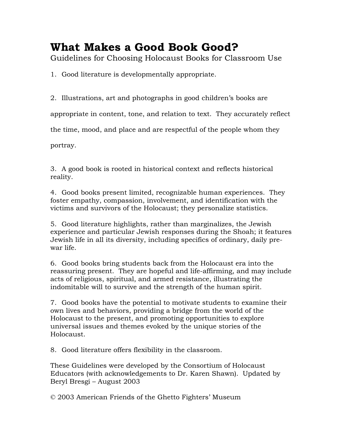## **What Makes a Good Book Good?**

Guidelines for Choosing Holocaust Books for Classroom Use

1. Good literature is developmentally appropriate.

2. Illustrations, art and photographs in good children's books are

appropriate in content, tone, and relation to text. They accurately reflect

the time, mood, and place and are respectful of the people whom they

portray.

3. A good book is rooted in historical context and reflects historical reality.

4. Good books present limited, recognizable human experiences. They foster empathy, compassion, involvement, and identification with the victims and survivors of the Holocaust; they personalize statistics.

5. Good literature highlights, rather than marginalizes, the Jewish experience and particular Jewish responses during the Shoah; it features Jewish life in all its diversity, including specifics of ordinary, daily prewar life.

6. Good books bring students back from the Holocaust era into the reassuring present. They are hopeful and life-affirming, and may include acts of religious, spiritual, and armed resistance, illustrating the indomitable will to survive and the strength of the human spirit.

7. Good books have the potential to motivate students to examine their own lives and behaviors, providing a bridge from the world of the Holocaust to the present, and promoting opportunities to explore universal issues and themes evoked by the unique stories of the Holocaust.

8. Good literature offers flexibility in the classroom.

These Guidelines were developed by the Consortium of Holocaust Educators (with acknowledgements to Dr. Karen Shawn). Updated by Beryl Bresgi – August 2003

© 2003 American Friends of the Ghetto Fighters' Museum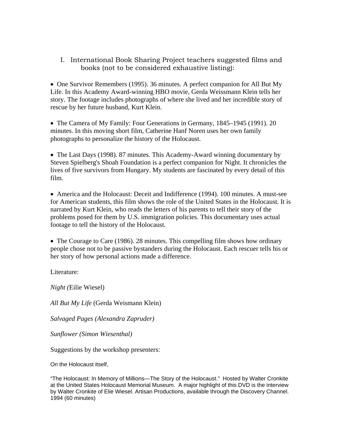I. International Book Sharing Project teachers suggested films and books (not to be considered exhaustive listing):

• One Survivor Remembers (1995). 36 minutes. A perfect companion for All But My Life. In this Academy Award-winning HBO movie, Gerda Weissmann Klein tells her story. The footage includes photographs of where she lived and her incredible story of rescue by her future husband, Kurt Klein.

• The Camera of My Family: Four Generations in Germany, 1845–1945 (1991). 20 minutes. In this moving short film, Catherine Hanf Noren uses her own family photographs to personalize the history of the Holocaust.

• The Last Days (1998). 87 minutes. This Academy-Award winning documentary by Steven Spielberg's Shoah Foundation is a perfect companion for Night. It chronicles the lives of five survivors from Hungary. My students are fascinated by every detail of this film.

• America and the Holocaust: Deceit and Indifference (1994). 100 minutes. A must-see for American students, this film shows the role of the United States in the Holocaust. It is narrated by Kurt Klein, who reads the letters of his parents to tell their story of the problems posed for them by U.S. immigration policies. This documentary uses actual footage to tell the history of the Holocaust.

• The Courage to Care (1986). 28 minutes. This compelling film shows how ordinary people chose not to be passive bystanders during the Holocaust. Each rescuer tells his or her story of how personal actions made a difference.

Literature:

*Night (*Eilie Wiesel)

*All But My Life* (Gerda Weismann Klein)

*Salvaged Pages (Alexandra Zapruder)*

*Sunflower (Simon Wiesenthal)* 

Suggestions by the workshop presenters:

On the Holocaust itself,

"The Holocaust: In Memory of Millions—The Story of the Holocaust." Hosted by Walter Cronkite at the United States Holocaust Memorial Museum. A major highlight of this DVD is the interview by Walter Cronkite of Elie Wiesel. Artisan Productions, available through the Discovery Channel. 1994 (60 minutes)